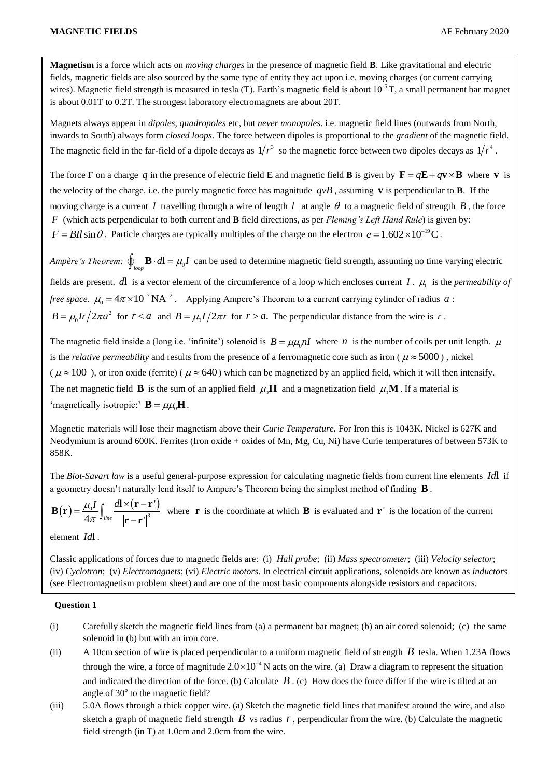**Magnetism** is a force which acts on *moving charges* in the presence of magnetic field **B**. Like gravitational and electric fields, magnetic fields are also sourced by the same type of entity they act upon i.e. moving charges (or current carrying wires). Magnetic field strength is measured in tesla (T). Earth's magnetic field is about  $10^{-5}$  T, a small permanent bar magnet is about 0.01T to 0.2T. The strongest laboratory electromagnets are about 20T.

Magnets always appear in *dipoles*, *quadropoles* etc, but *never monopoles*. i.e. magnetic field lines (outwards from North, inwards to South) always form *closed loops*. The force between dipoles is proportional to the *gradient* of the magnetic field. The magnetic field in the far-field of a dipole decays as  $1/r^3$  so the magnetic force between two dipoles decays as  $1/r^4$ .

The force **F** on a charge q in the presence of electric field **E** and magnetic field **B** is given by  $\mathbf{F} = q\mathbf{E} + q\mathbf{v} \times \mathbf{B}$  where **v** is the velocity of the charge. i.e. the purely magnetic force has magnitude  $qvB$ , assuming  $\bf{v}$  is perpendicular to  $\bf{B}$ . If the moving charge is a current I travelling through a wire of length  $l$  at angle  $\theta$  to a magnetic field of strength  $B$ , the force *F* (which acts perpendicular to both current and **B** field directions, as per *Fleming's Left Hand Rule*) is given by:  $F = BII \sin \theta$ . Particle charges are typically multiples of the charge on the electron  $e = 1.602 \times 10^{-19}$ C.

*Ampère's Theorem:*  $\oint_{loop}$  **B** ·  $d\mathbf{l} = \mu_0 I$  can be used to determine magnetic field strength, assuming no time varying electric fields are present.  $d\mathbf{l}$  is a vector element of the circumference of a loop which encloses current  $I$ .  $\mu_0$  is the *permeability* of *free space.*  $\mu_0 = 4\pi \times 10^{-7} \text{NA}^{-2}$ . Applying Ampere's Theorem to a current carrying cylinder of radius a:  $B = \mu_0 Ir / 2\pi a^2$  for  $r < a$  and  $B = \mu_0 I / 2\pi r$  for  $r > a$ . The perpendicular distance from the wire is r.

The magnetic field inside a (long i.e. 'infinite') solenoid is  $B = \mu\mu_0 nI$  where *n* is the number of coils per unit length.  $\mu$ is the *relative permeability* and results from the presence of a ferromagnetic core such as iron ( $\mu \approx 5000$ ), nickel ( $\mu \approx 100$ ), or iron oxide (ferrite) ( $\mu \approx 640$ ) which can be magnetized by an applied field, which it will then intensify. The net magnetic field **B** is the sum of an applied field  $\mu_0$ **H** and a magnetization field  $\mu_0$ **M**. If a material is 'magnetically isotropic:'  $\mathbf{B} = \mu \mu_0 \mathbf{H}$ .

Magnetic materials will lose their magnetism above their *Curie Temperature.* For Iron this is 1043K. Nickel is 627K and Neodymium is around 600K. Ferrites (Iron oxide + oxides of Mn, Mg, Cu, Ni) have Curie temperatures of between 573K to 858K.

The *Biot-Savart law* is a useful general-purpose expression for calculating magnetic fields from current line elements *Id***l** if a geometry doesn't naturally lend itself to Ampere's Theorem being the simplest method of finding **B** .

 $\mathbf{r} = \frac{\mu_0 I}{4\pi} \int_{\text{line}} \frac{d\mathbf{l} \times (\mathbf{r} - \mathbf{r}^{\prime})}{\sqrt{3}}$  $\frac{\mu_0 I}{4\pi} \int_{\text{line}} \frac{d\mathbf{l} \times (\mathbf{r} - \mathbf{r}^\top)}{\left|\mathbf{r} - \mathbf{r}^\top\right|^3}$  $\mu_0 I$   $\int d$ π  $=\frac{\mu_0 I}{\mu_0} \int \frac{d\mathbf{l} \times (\mathbf{r}-\mathbf{r}^{\prime})}{r^3}$  $\int_{line} \frac{a_1 \wedge a}{\vert \mathbf{r} \vert}$  $\mathbf{B}(\mathbf{r}) = \frac{\mu_0 I}{4} \int_{\mathbb{R}} \frac{d\mathbf{l} \times (\mathbf{r} - \mathbf{r})}{\mathbf{l} \cdot \mathbf{l}^3}$ where **r** is the coordinate at which **B** is evaluated and **r**<sup>1</sup> is the location of the current  $\mathbf{r} - \mathbf{r'}^3$ 

element *Id***l** .

Classic applications of forces due to magnetic fields are: (i) *Hall probe*; (ii) *Mass spectrometer*; (iii) *Velocity selector*; (iv) *Cyclotron*; (v) *Electromagnets*; (vi) *Electric motors*. In electrical circuit applications, solenoids are known as *inductors* (see Electromagnetism problem sheet) and are one of the most basic components alongside resistors and capacitors.

## **Question 1**

- (i) Carefully sketch the magnetic field lines from (a) a permanent bar magnet; (b) an air cored solenoid; (c) the same solenoid in (b) but with an iron core.
- (ii) A 10cm section of wire is placed perpendicular to a uniform magnetic field of strength  $B$  tesla. When 1.23A flows through the wire, a force of magnitude  $2.0 \times 10^{-4}$  N acts on the wire. (a) Draw a diagram to represent the situation and indicated the direction of the force. (b) Calculate  $B$ . (c) How does the force differ if the wire is tilted at an angle of  $30^{\circ}$  to the magnetic field?
- (iii) 5.0A flows through a thick copper wire. (a) Sketch the magnetic field lines that manifest around the wire, and also sketch a graph of magnetic field strength  $B$  vs radius  $r$ , perpendicular from the wire. (b) Calculate the magnetic field strength (in T) at 1.0cm and 2.0cm from the wire.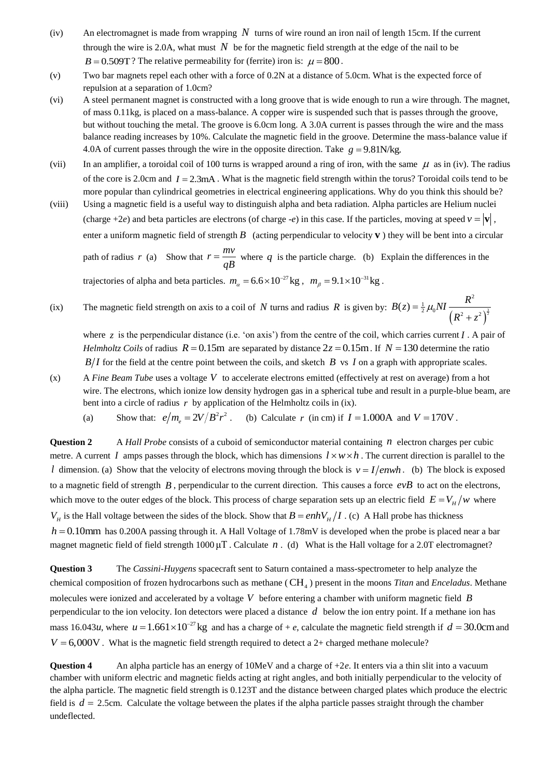- (iv) An electromagnet is made from wrapping  $N$  turns of wire round an iron nail of length 15cm. If the current through the wire is 2.0A, what must  $N$  be for the magnetic field strength at the edge of the nail to be  $B = 0.509T$ ? The relative permeability for (ferrite) iron is:  $\mu = 800$ .
- (v) Two bar magnets repel each other with a force of 0.2N at a distance of 5.0cm. What is the expected force of repulsion at a separation of 1.0cm?
- (vi) A steel permanent magnet is constructed with a long groove that is wide enough to run a wire through. The magnet, of mass 0.11kg, is placed on a mass-balance. A copper wire is suspended such that is passes through the groove, but without touching the metal. The groove is 6.0cm long. A 3.0A current is passes through the wire and the mass balance reading increases by 10%. Calculate the magnetic field in the groove. Determine the mass-balance value if 4.0A of current passes through the wire in the opposite direction. Take  $g = 9.81$ N/kg.
- (vii) In an amplifier, a toroidal coil of 100 turns is wrapped around a ring of iron, with the same  $\mu$  as in (iv). The radius of the core is 2.0cm and  $I = 2.3 \text{mA}$ . What is the magnetic field strength within the torus? Toroidal coils tend to be more popular than cylindrical geometries in electrical engineering applications. Why do you think this should be?
- (viii) Using a magnetic field is a useful way to distinguish alpha and beta radiation. Alpha particles are Helium nuclei (charge +2*e*) and beta particles are electrons (of charge -*e*) in this case. If the particles, moving at speed  $v = |\mathbf{v}|$ , enter a uniform magnetic field of strength  $B$  (acting perpendicular to velocity  $\bf{v}$ ) they will be bent into a circular path of radius *r* (a) Show that  $r = \frac{mv}{r}$ *qB*  $=\frac{mv}{\hbar}$  where q is the particle charge. (b) Explain the differences in the trajectories of alpha and beta particles.  $m_a = 6.6 \times 10^{-27}$  kg,  $m_\beta = 9.1 \times 10^{-31}$  kg.
- (ix) The magnetic field strength on axis to a coil of  $N$  turns and radius  $R$  is given by:  $(R^2 + z^2)^{\frac{3}{2}}$ 2  $B(z) = \frac{1}{2} \mu_0 NI \frac{R^2}{\left(P^2 + z^2\right)}$  $=\frac{1}{2}\mu_0 NI \frac{R}{(R^2+z)}$  $\overline{+}$

where  $z$  is the perpendicular distance (i.e. 'on axis') from the centre of the coil, which carries current  $I$ . A pair of *Helmholtz Coils* of radius  $R = 0.15$ m are separated by distance  $2z = 0.15$ m. If  $N = 130$  determine the ratio  $B/I$  for the field at the centre point between the coils, and sketch  $B$  vs  $I$  on a graph with appropriate scales.

- (x) A *Fine Beam Tube* uses a voltage *V* to accelerate electrons emitted (effectively at rest on average) from a hot wire. The electrons, which ionize low density hydrogen gas in a spherical tube and result in a purple-blue beam, are bent into a circle of radius  $r$  by application of the Helmholtz coils in (ix).
	- (a) Show that:  $e/m_e = 2V/B^2r^2$ . (b) Calculate r (in cm) if  $I = 1.000A$  and  $V = 170V$ .

**Question 2** A *Hall Probe* consists of a cuboid of semiconductor material containing  $n$  electron charges per cubic metre. A current *I* amps passes through the block, which has dimensions  $l \times w \times h$ . The current direction is parallel to the *l* dimension. (a) Show that the velocity of electrons moving through the block is  $v = I/envh$ . (b) The block is exposed to a magnetic field of strength *B* , perpendicular to the current direction. This causes a force *evB* to act on the electrons, which move to the outer edges of the block. This process of charge separation sets up an electric field  $E = V_H/w$  where  $V_H$  is the Hall voltage between the sides of the block. Show that  $B = enhV_H/I$ . (c) A Hall probe has thickness  $h = 0.10$ mm has 0.200A passing through it. A Hall Voltage of 1.78mV is developed when the probe is placed near a bar magnet magnetic field of field strength  $1000 \mu$ T. Calculate  $n$ . (d) What is the Hall voltage for a 2.0T electromagnet?

**Question 3** The *Cassini-Huygens* spacecraft sent to Saturn contained a mass-spectrometer to help analyze the chemical composition of frozen hydrocarbons such as methane (CH<sub>4</sub>) present in the moons *Titan* and *Enceladus*. Methane molecules were ionized and accelerated by a voltage *V* before entering a chamber with uniform magnetic field *B* perpendicular to the ion velocity. Ion detectors were placed a distance *d* below the ion entry point. If a methane ion has mass 16.043*u*, where  $u = 1.661 \times 10^{-27}$  kg and has a charge of + *e*, calculate the magnetic field strength if  $d = 30.0$ cm and  $V = 6,000$ V. What is the magnetic field strength required to detect a 2+ charged methane molecule?

**Question 4** An alpha particle has an energy of 10MeV and a charge of +2*e*. It enters via a thin slit into a vacuum chamber with uniform electric and magnetic fields acting at right angles, and both initially perpendicular to the velocity of the alpha particle. The magnetic field strength is 0.123T and the distance between charged plates which produce the electric field is  $d = 2.5$ cm. Calculate the voltage between the plates if the alpha particle passes straight through the chamber undeflected.